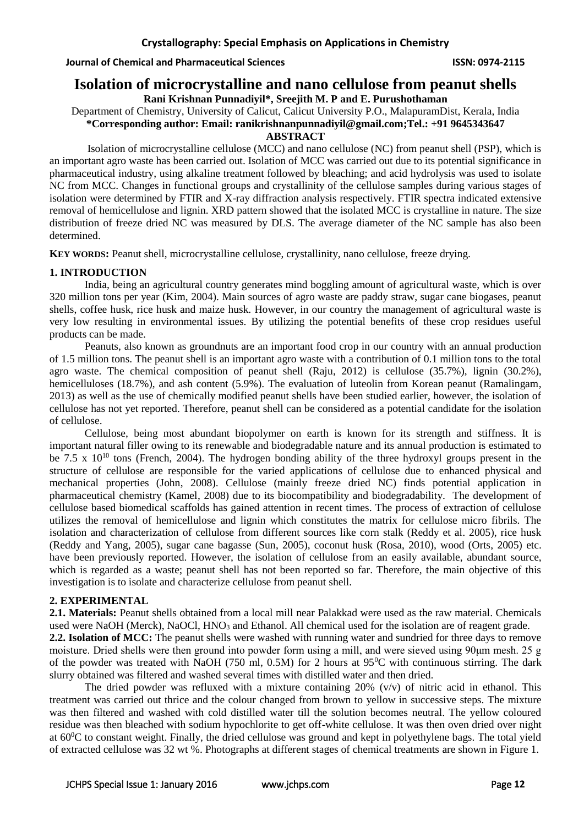## **Journal of Chemical and Pharmaceutical Sciences ISSN: 0974-2115**

# **Isolation of microcrystalline and nano cellulose from peanut shells**

**Rani Krishnan Punnadiyil\*, Sreejith M. P and E. Purushothaman**

Department of Chemistry, University of Calicut, Calicut University P.O., MalapuramDist, Kerala, India **\*Corresponding author: Email: [ranikrishnanpunnadiyil@gmail.com;](mailto:ranikrishnanpunnadiyil@gmail.com)Tel.: +91 9645343647**

# **ABSTRACT**

Isolation of microcrystalline cellulose (MCC) and nano cellulose (NC) from peanut shell (PSP), which is an important agro waste has been carried out. Isolation of MCC was carried out due to its potential significance in pharmaceutical industry, using alkaline treatment followed by bleaching; and acid hydrolysis was used to isolate NC from MCC. Changes in functional groups and crystallinity of the cellulose samples during various stages of isolation were determined by FTIR and X-ray diffraction analysis respectively. FTIR spectra indicated extensive removal of hemicellulose and lignin. XRD pattern showed that the isolated MCC is crystalline in nature. The size distribution of freeze dried NC was measured by DLS. The average diameter of the NC sample has also been determined.

**KEY WORDS:** Peanut shell, microcrystalline cellulose, crystallinity, nano cellulose, freeze drying.

## **1. INTRODUCTION**

India, being an agricultural country generates mind boggling amount of agricultural waste, which is over 320 million tons per year (Kim, 2004). Main sources of agro waste are paddy straw, sugar cane biogases, peanut shells, coffee husk, rice husk and maize husk. However, in our country the management of agricultural waste is very low resulting in environmental issues. By utilizing the potential benefits of these crop residues useful products can be made.

Peanuts, also known as groundnuts are an important food crop in our country with an annual production of 1.5 million tons. The peanut shell is an important agro waste with a contribution of 0.1 million tons to the total agro waste. The chemical composition of peanut shell (Raju, 2012) is cellulose (35.7%), lignin (30.2%), hemicelluloses (18.7%), and ash content (5.9%). The evaluation of luteolin from Korean peanut (Ramalingam, 2013) as well as the use of chemically modified peanut shells have been studied earlier, however, the isolation of cellulose has not yet reported. Therefore, peanut shell can be considered as a potential candidate for the isolation of cellulose.

Cellulose, being most abundant biopolymer on earth is known for its strength and stiffness. It is important natural filler owing to its renewable and biodegradable nature and its annual production is estimated to be  $7.5 \times 10^{10}$  tons (French, 2004). The hydrogen bonding ability of the three hydroxyl groups present in the structure of cellulose are responsible for the varied applications of cellulose due to enhanced physical and mechanical properties (John, 2008). Cellulose (mainly freeze dried NC) finds potential application in pharmaceutical chemistry (Kamel, 2008) due to its biocompatibility and biodegradability. The development of cellulose based biomedical scaffolds has gained attention in recent times. The process of extraction of cellulose utilizes the removal of hemicellulose and lignin which constitutes the matrix for cellulose micro fibrils. The isolation and characterization of cellulose from different sources like corn stalk (Reddy et al. 2005), rice husk (Reddy and Yang, 2005), sugar cane bagasse (Sun, 2005), coconut husk (Rosa, 2010), wood (Orts, 2005) etc. have been previously reported. However, the isolation of cellulose from an easily available, abundant source, which is regarded as a waste; peanut shell has not been reported so far. Therefore, the main objective of this investigation is to isolate and characterize cellulose from peanut shell.

# **2. EXPERIMENTAL**

**2.1. Materials:** Peanut shells obtained from a local mill near Palakkad were used as the raw material. Chemicals used were NaOH (Merck), NaOCl,  $HNO<sub>3</sub>$  and Ethanol. All chemical used for the isolation are of reagent grade.

**2.2. Isolation of MCC:** The peanut shells were washed with running water and sundried for three days to remove moisture. Dried shells were then ground into powder form using a mill, and were sieved using 90μm mesh. 25 g of the powder was treated with NaOH (750 ml, 0.5M) for 2 hours at  $95^{\circ}$ C with continuous stirring. The dark slurry obtained was filtered and washed several times with distilled water and then dried.

The dried powder was refluxed with a mixture containing 20% (v/v) of nitric acid in ethanol. This treatment was carried out thrice and the colour changed from brown to yellow in successive steps. The mixture was then filtered and washed with cold distilled water till the solution becomes neutral. The yellow coloured residue was then bleached with sodium hypochlorite to get off-white cellulose. It was then oven dried over night at 60<sup>0</sup>C to constant weight. Finally, the dried cellulose was ground and kept in polyethylene bags. The total yield of extracted cellulose was 32 wt %. Photographs at different stages of chemical treatments are shown in Figure 1.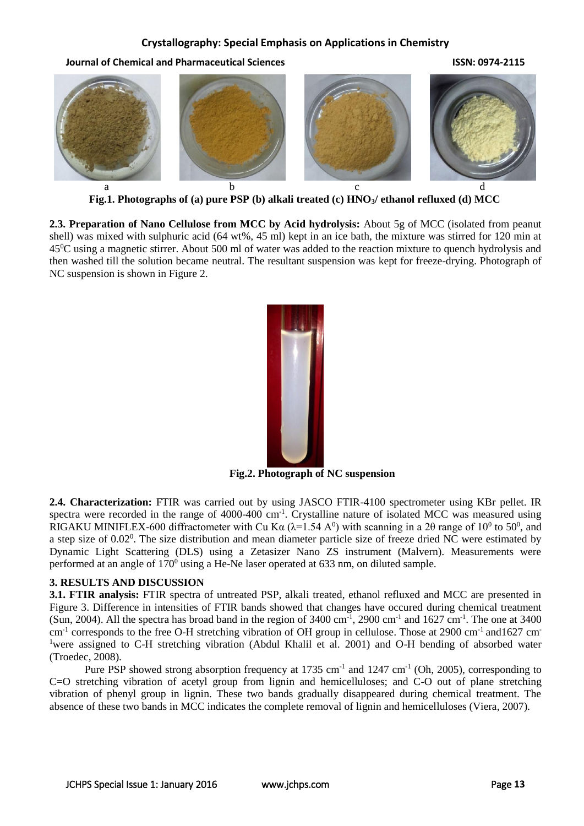#### **Crystallography: Special Emphasis on Applications in Chemistry**

**Journal of Chemical and Pharmaceutical Sciences ISSN: 0974-2115**



**Fig.1. Photographs of (a) pure PSP (b) alkali treated (c) HNO3/ ethanol refluxed (d) MCC**

**2.3. Preparation of Nano Cellulose from MCC by Acid hydrolysis:** About 5g of MCC (isolated from peanut shell) was mixed with sulphuric acid (64 wt%, 45 ml) kept in an ice bath, the mixture was stirred for 120 min at 45<sup>0</sup>C using a magnetic stirrer. About 500 ml of water was added to the reaction mixture to quench hydrolysis and then washed till the solution became neutral. The resultant suspension was kept for freeze-drying. Photograph of NC suspension is shown in Figure 2.



**Fig.2. Photograph of NC suspension**

**2.4. Characterization:** FTIR was carried out by using JASCO FTIR-4100 spectrometer using KBr pellet. IR spectra were recorded in the range of 4000-400  $cm^{-1}$ . Crystalline nature of isolated MCC was measured using RIGAKU MINIFLEX-600 diffractometer with Cu K $\alpha$  ( $\lambda$ =1.54 A<sup>0</sup>) with scanning in a 20 range of 10<sup>0</sup> to 50<sup>0</sup>, and a step size of 0.02<sup>0</sup>. The size distribution and mean diameter particle size of freeze dried NC were estimated by Dynamic Light Scattering (DLS) using a Zetasizer Nano ZS instrument (Malvern). Measurements were performed at an angle of  $170^{\circ}$  using a He-Ne laser operated at 633 nm, on diluted sample.

#### **3. RESULTS AND DISCUSSION**

**3.1. FTIR analysis:** FTIR spectra of untreated PSP, alkali treated, ethanol refluxed and MCC are presented in Figure 3. Difference in intensities of FTIR bands showed that changes have occured during chemical treatment (Sun, 2004). All the spectra has broad band in the region of  $3400 \text{ cm}^{-1}$ , 2900 cm<sup>-1</sup> and  $1627 \text{ cm}^{-1}$ . The one at 3400 cm<sup>-1</sup> corresponds to the free O-H stretching vibration of OH group in cellulose. Those at 2900 cm<sup>-1</sup> and1627 cm<sup>-</sup> <sup>1</sup>were assigned to C-H stretching vibration (Abdul Khalil et al. 2001) and O-H bending of absorbed water (Troedec, 2008).

Pure PSP showed strong absorption frequency at  $1735 \text{ cm}^{-1}$  and  $1247 \text{ cm}^{-1}$  (Oh, 2005), corresponding to C=O stretching vibration of acetyl group from lignin and hemicelluloses; and C-O out of plane stretching vibration of phenyl group in lignin. These two bands gradually disappeared during chemical treatment. The absence of these two bands in MCC indicates the complete removal of lignin and hemicelluloses (Viera, 2007).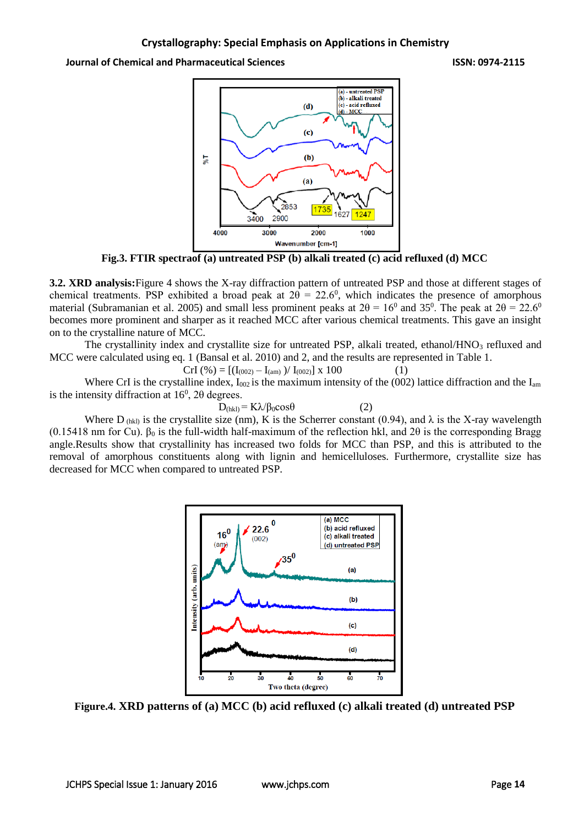**Journal of Chemical and Pharmaceutical Sciences ISSN: 0974-2115**



**Fig.3. FTIR spectraof (a) untreated PSP (b) alkali treated (c) acid refluxed (d) MCC**

**3.2. XRD analysis:**Figure 4 shows the X-ray diffraction pattern of untreated PSP and those at different stages of chemical treatments. PSP exhibited a broad peak at  $2\theta = 22.6^{\circ}$ , which indicates the presence of amorphous material (Subramanian et al. 2005) and small less prominent peaks at  $2\theta = 16^{\circ}$  and 35<sup>°</sup>. The peak at  $2\theta = 22.6^{\circ}$ becomes more prominent and sharper as it reached MCC after various chemical treatments. This gave an insight on to the crystalline nature of MCC.

The crystallinity index and crystallite size for untreated PSP, alkali treated, ethanol/HNO3 refluxed and MCC were calculated using eq. 1 (Bansal et al. 2010) and 2, and the results are represented in Table 1.

$$
CrI\left(\% \right) = \left[ \left( I_{(002)} - I_{(am)} \right) / I_{(002)} \right] \times 100\tag{1}
$$

Where CrI is the crystalline index,  $I_{002}$  is the maximum intensity of the (002) lattice diffraction and the  $I_{am}$ is the intensity diffraction at  $16^{\circ}$ ,  $2\theta$  degrees.

$$
D_{(hkl)} = K\lambda/\beta_0 \cos\theta \tag{2}
$$

Where D<sub>(hk)</sub> is the crystallite size (nm), K is the Scherrer constant (0.94), and  $\lambda$  is the X-ray wavelength (0.15418 nm for Cu).  $\beta_0$  is the full-width half-maximum of the reflection hkl, and 2 $\theta$  is the corresponding Bragg angle.Results show that crystallinity has increased two folds for MCC than PSP, and this is attributed to the removal of amorphous constituents along with lignin and hemicelluloses. Furthermore, crystallite size has decreased for MCC when compared to untreated PSP.



**Figure.4. XRD patterns of (a) MCC (b) acid refluxed (c) alkali treated (d) untreated PSP**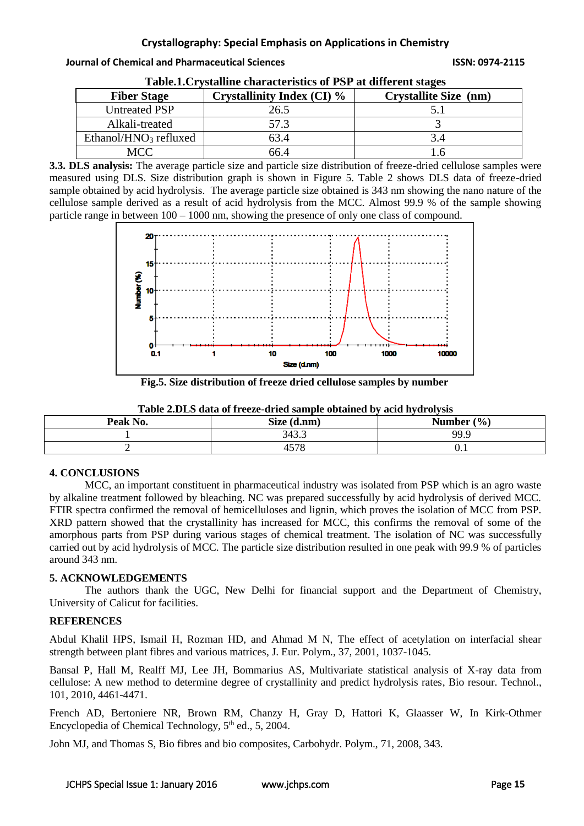## **Journal of Chemical and Pharmaceutical Sciences ISSN: 0974-2115**

| Tublement tourning character lough of T DT at anited the burges |                                   |                              |  |
|-----------------------------------------------------------------|-----------------------------------|------------------------------|--|
| <b>Fiber Stage</b>                                              | <b>Crystallinity Index (CI) %</b> | <b>Crystallite Size (nm)</b> |  |
| <b>Untreated PSP</b>                                            | 26.5                              |                              |  |
| Alkali-treated                                                  | 57.3                              |                              |  |
| Ethanol/HNO <sub>3</sub> refluxed                               | 63.4                              |                              |  |
| MCC                                                             | 66.4                              |                              |  |

| Table.1. Crystalline characteristics of PSP at different stages |  |
|-----------------------------------------------------------------|--|
|                                                                 |  |

**3.3. DLS analysis:** The average particle size and particle size distribution of freeze-dried cellulose samples were measured using DLS. Size distribution graph is shown in Figure 5. Table 2 shows DLS data of freeze-dried sample obtained by acid hydrolysis. The average particle size obtained is 343 nm showing the nano nature of the cellulose sample derived as a result of acid hydrolysis from the MCC. Almost 99.9 % of the sample showing particle range in between 100 – 1000 nm, showing the presence of only one class of compound.



**Fig.5. Size distribution of freeze dried cellulose samples by number**

| Table 2.DLS data of freeze-dried sample obtained by acid hydrolysis |             |                |  |
|---------------------------------------------------------------------|-------------|----------------|--|
| Peak No.                                                            | Size (d.nm) | Number $(\% )$ |  |
|                                                                     | 343.3       | 99.9           |  |

2 4578 0.1

# **4. CONCLUSIONS**

MCC, an important constituent in pharmaceutical industry was isolated from PSP which is an agro waste by alkaline treatment followed by bleaching. NC was prepared successfully by acid hydrolysis of derived MCC. FTIR spectra confirmed the removal of hemicelluloses and lignin, which proves the isolation of MCC from PSP. XRD pattern showed that the crystallinity has increased for MCC, this confirms the removal of some of the amorphous parts from PSP during various stages of chemical treatment. The isolation of NC was successfully carried out by acid hydrolysis of MCC. The particle size distribution resulted in one peak with 99.9 % of particles around 343 nm.

# **5. ACKNOWLEDGEMENTS**

The authors thank the UGC, New Delhi for financial support and the Department of Chemistry, University of Calicut for facilities.

# **REFERENCES**

Abdul Khalil HPS, Ismail H, Rozman HD, and Ahmad M N, [The effect of acetylation on interfacial shear](http://www.sciencedirect.com/science/article/pii/S0014305700001993)  [strength between plant fibres and various matrices,](http://www.sciencedirect.com/science/article/pii/S0014305700001993) J. Eur. Polym., 37, 2001, 1037-1045.

Bansal P, Hall M, Realff MJ, Lee JH, Bommarius AS, [Multivariate statistical analysis of X-ray data from](http://www.sciencedirect.com/science/article/pii/S0960852410001549)  [cellulose: A new method to determine degree of crystallinity and predict hydrolysis rates,](http://www.sciencedirect.com/science/article/pii/S0960852410001549) Bio resour. Technol., 101, 2010, 4461-4471.

French AD, Bertoniere NR, Brown RM, Chanzy H, Gray D, Hattori K, Glaasser W, In Kirk-Othmer Encyclopedia of Chemical Technology, 5<sup>th</sup> ed., 5, 2004.

John MJ, and Thomas S, Bio [fibres and bio](http://www.sciencedirect.com/science/article/pii/S0144861707002974) composites, Carbohydr. Polym., 71, 2008, 343.